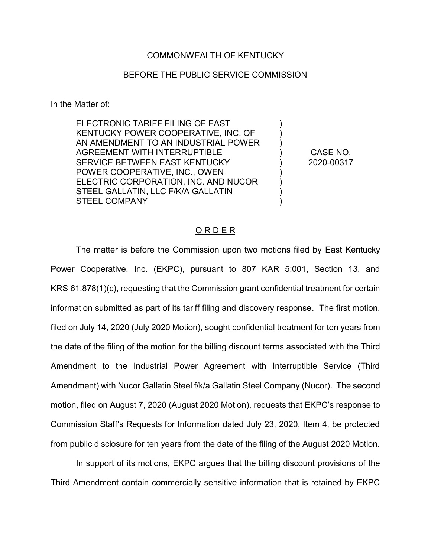## COMMONWEALTH OF KENTUCKY

## BEFORE THE PUBLIC SERVICE COMMISSION

In the Matter of:

ELECTRONIC TARIFF FILING OF EAST KENTUCKY POWER COOPERATIVE, INC. OF AN AMENDMENT TO AN INDUSTRIAL POWER AGREEMENT WITH INTERRUPTIBLE SERVICE BETWEEN EAST KENTUCKY POWER COOPERATIVE, INC., OWEN ELECTRIC CORPORATION, INC. AND NUCOR STEEL GALLATIN, LLC F/K/A GALLATIN STEEL COMPANY

CASE NO. 2020-00317

) ) ) ) ) ) ) ) )

## O R D E R

The matter is before the Commission upon two motions filed by East Kentucky Power Cooperative, Inc. (EKPC), pursuant to 807 KAR 5:001, Section 13, and KRS 61.878(1)(c), requesting that the Commission grant confidential treatment for certain information submitted as part of its tariff filing and discovery response. The first motion, filed on July 14, 2020 (July 2020 Motion), sought confidential treatment for ten years from the date of the filing of the motion for the billing discount terms associated with the Third Amendment to the Industrial Power Agreement with Interruptible Service (Third Amendment) with Nucor Gallatin Steel f/k/a Gallatin Steel Company (Nucor). The second motion, filed on August 7, 2020 (August 2020 Motion), requests that EKPC's response to Commission Staff's Requests for Information dated July 23, 2020, Item 4, be protected from public disclosure for ten years from the date of the filing of the August 2020 Motion.

In support of its motions, EKPC argues that the billing discount provisions of the Third Amendment contain commercially sensitive information that is retained by EKPC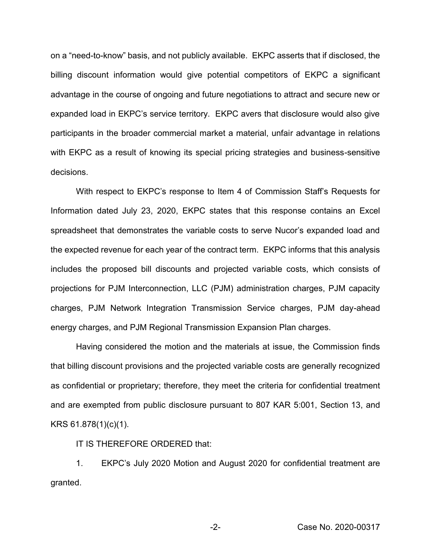on a "need-to-know" basis, and not publicly available. EKPC asserts that if disclosed, the billing discount information would give potential competitors of EKPC a significant advantage in the course of ongoing and future negotiations to attract and secure new or expanded load in EKPC's service territory. EKPC avers that disclosure would also give participants in the broader commercial market a material, unfair advantage in relations with EKPC as a result of knowing its special pricing strategies and business-sensitive decisions.

With respect to EKPC's response to Item 4 of Commission Staff's Requests for Information dated July 23, 2020, EKPC states that this response contains an Excel spreadsheet that demonstrates the variable costs to serve Nucor's expanded load and the expected revenue for each year of the contract term. EKPC informs that this analysis includes the proposed bill discounts and projected variable costs, which consists of projections for PJM Interconnection, LLC (PJM) administration charges, PJM capacity charges, PJM Network Integration Transmission Service charges, PJM day-ahead energy charges, and PJM Regional Transmission Expansion Plan charges.

Having considered the motion and the materials at issue, the Commission finds that billing discount provisions and the projected variable costs are generally recognized as confidential or proprietary; therefore, they meet the criteria for confidential treatment and are exempted from public disclosure pursuant to 807 KAR 5:001, Section 13, and KRS 61.878(1)(c)(1).

IT IS THEREFORE ORDERED that:

1. EKPC's July 2020 Motion and August 2020 for confidential treatment are granted.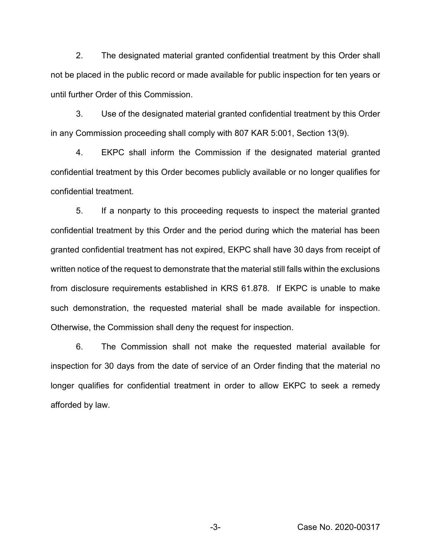2. The designated material granted confidential treatment by this Order shall not be placed in the public record or made available for public inspection for ten years or until further Order of this Commission.

3. Use of the designated material granted confidential treatment by this Order in any Commission proceeding shall comply with 807 KAR 5:001, Section 13(9).

4. EKPC shall inform the Commission if the designated material granted confidential treatment by this Order becomes publicly available or no longer qualifies for confidential treatment.

5. If a nonparty to this proceeding requests to inspect the material granted confidential treatment by this Order and the period during which the material has been granted confidential treatment has not expired, EKPC shall have 30 days from receipt of written notice of the request to demonstrate that the material still falls within the exclusions from disclosure requirements established in KRS 61.878. If EKPC is unable to make such demonstration, the requested material shall be made available for inspection. Otherwise, the Commission shall deny the request for inspection.

6. The Commission shall not make the requested material available for inspection for 30 days from the date of service of an Order finding that the material no longer qualifies for confidential treatment in order to allow EKPC to seek a remedy afforded by law.

-3- Case No. 2020-00317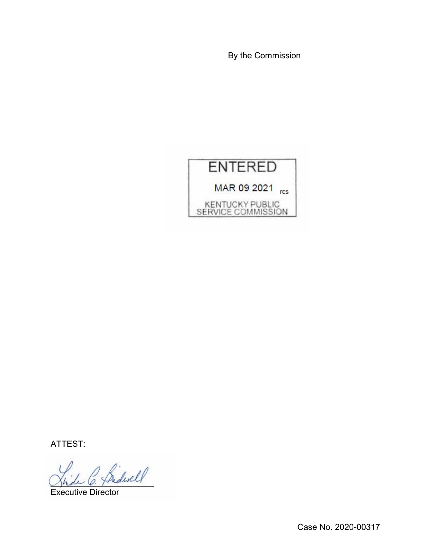By the Commission



ATTEST:

\_\_\_\_\_\_\_\_\_\_\_\_\_\_\_\_\_\_\_\_\_\_

Executive Director

Case No. 2020-00317